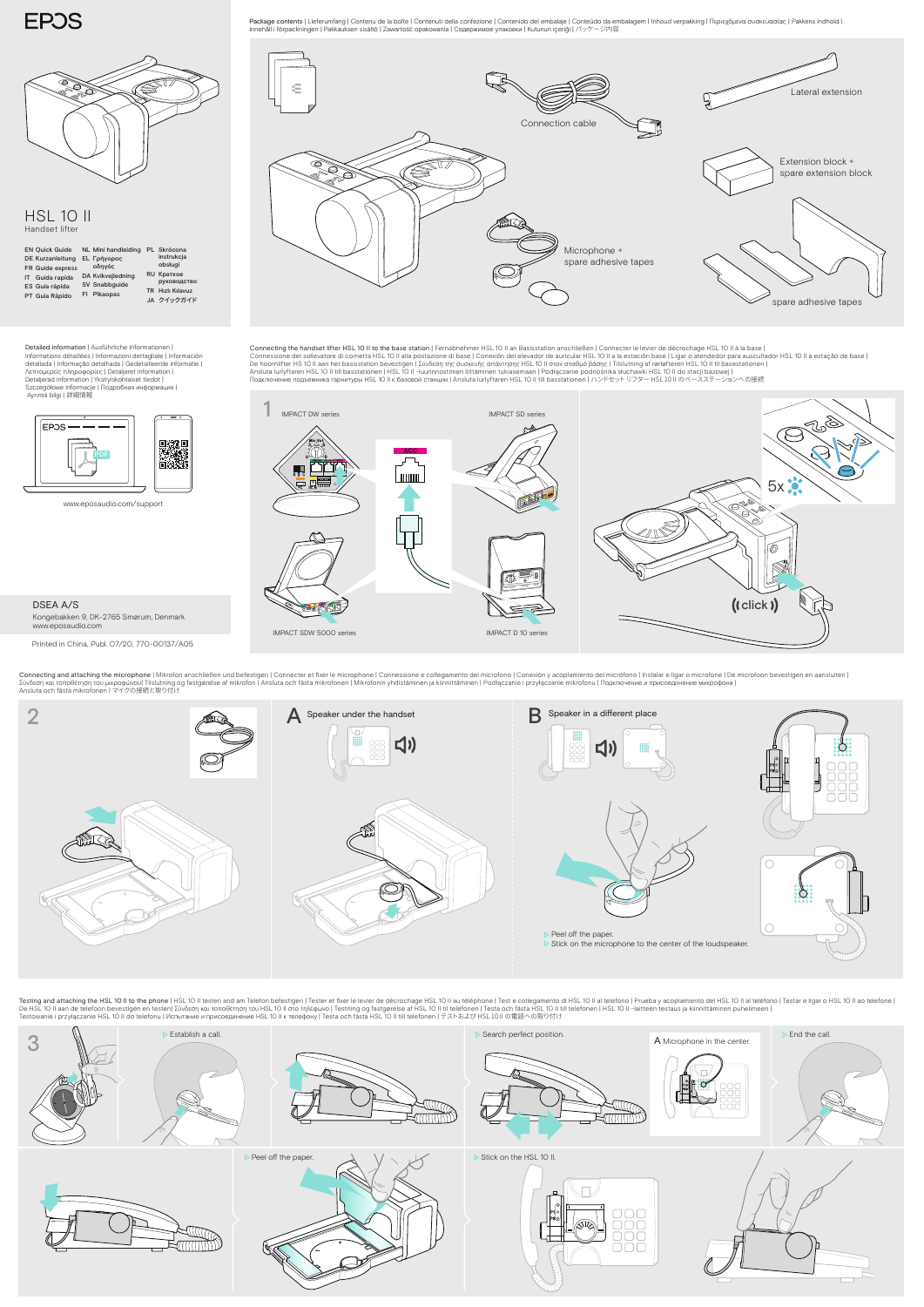www.eposaudio.com/support

2 **A** Speaker under the handset **B** Speaker in a different place  $\Box$ ) </sub>  $\bigcirc$  $\Box \Box \Box$ 885<br>886 Ē OOC C Peel off the paper. Stick on the microphone to the center of the loudspeaker.

Connecting and attaching the microphone | Mikrofon anschließen und befestigen | Connecter et fixer le microphone | Connessione e collegamento del microfono | Conexión y acoplamiento del micrófono | Instalar e ligar o mi

Testing and attaching the HSL 10 II to the phone | HSL 10 II testen and am Telefon befestigen | Tester et fixer le levier de décrochage HSL 10 II au téléphone | Test e collegamento di HSL 10 II al telefono | Prueba y acopl De HSL 10 II aan de telefoon bevestigen en testen| Σύνδεση και τοποθέτηση του HSL 10 II στο τηλέφωνο | Testning og fastgørelse af HSL 10 II til telefonen | Testa och fästa HSL 10 II till telefonen | HSL 10 II till telef

DSEA A/S Kongebakken 9, DK-2765 Smørum, Denmark www.eposaudio.com





Connecting the handset lifter HSL 10 II to the base station | Fernabnehmer HSL 10 II an Basisstation anschließen | Connecter le levier de décrochage HSL 10 II à la base |<br>Connessione del sollevatore di cornetta HSL 10 II a De hoornlifter HS 10 II aan het basisstation bevestigen | Σύνδεση της συσκευής απάντησης HSL 10 II στον σταθμό βάσης | Tilslutning af rørløfteren HSL 10 II til basestationen |<br>Ansluta lurlyftaren HSL 10 II till basstati



Detailed information | Ausführliche Informationen | Informations détaillées | Informazioni dettagliate | Información detallada | Informação detalhada | Gedetailleerde informatie | Λεπτομερείς πληροφορίες | Detaljeret information | Detaljerad information | Yksityiskohtaiset tiedot | Szczegółowe informacje | Подробная информация |<br>Ayrıntılı bilgi | 詳細情報





**EPOS** 



## HSL 10 II Handset lifter

Printed in China, Publ. 07/20, 770-00137/A05